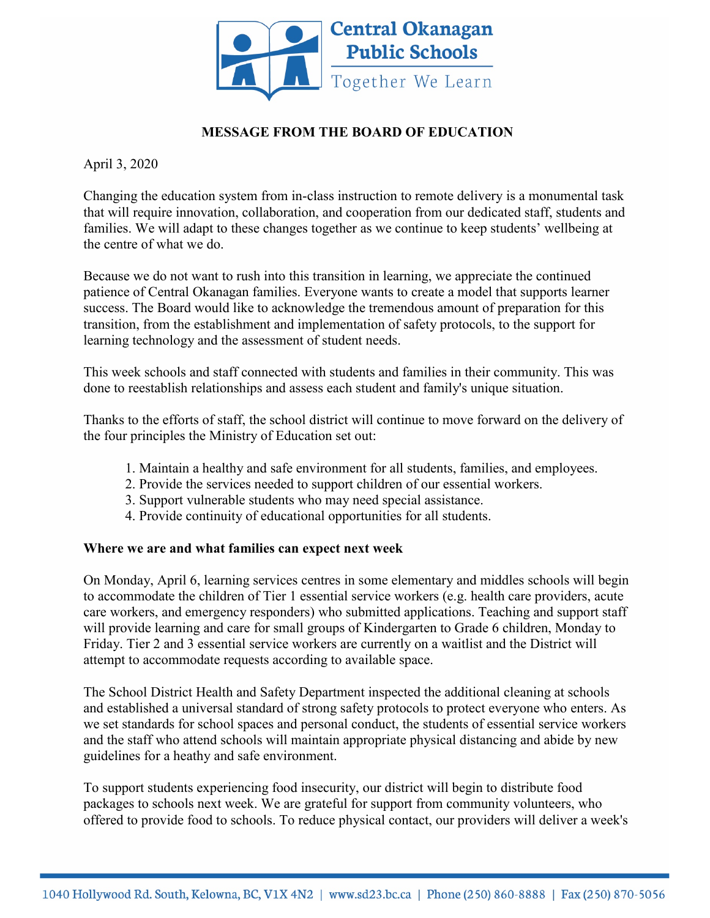

## **MESSAGE FROM THE BOARD OF EDUCATION**

April 3, 2020

Changing the education system from in-class instruction to remote delivery is a monumental task that will require innovation, collaboration, and cooperation from our dedicated staff, students and families. We will adapt to these changes together as we continue to keep students' wellbeing at the centre of what we do.

Because we do not want to rush into this transition in learning, we appreciate the continued patience of Central Okanagan families. Everyone wants to create a model that supports learner success. The Board would like to acknowledge the tremendous amount of preparation for this transition, from the establishment and implementation of safety protocols, to the support for learning technology and the assessment of student needs.

This week schools and staff connected with students and families in their community. This was done to reestablish relationships and assess each student and family's unique situation.

Thanks to the efforts of staff, the school district will continue to move forward on the delivery of the four principles the Ministry of Education set out:

- 1. Maintain a healthy and safe environment for all students, families, and employees.
- 2. Provide the services needed to support children of our essential workers.
- 3. Support vulnerable students who may need special assistance.
- 4. Provide continuity of educational opportunities for all students.

## **Where we are and what families can expect next week**

On Monday, April 6, learning services centres in some elementary and middles schools will begin to accommodate the children of Tier 1 essential service workers (e.g. health care providers, acute care workers, and emergency responders) who submitted applications. Teaching and support staff will provide learning and care for small groups of Kindergarten to Grade 6 children, Monday to Friday. Tier 2 and 3 essential service workers are currently on a waitlist and the District will attempt to accommodate requests according to available space.

The School District Health and Safety Department inspected the additional cleaning at schools and established a universal standard of strong safety protocols to protect everyone who enters. As we set standards for school spaces and personal conduct, the students of essential service workers and the staff who attend schools will maintain appropriate physical distancing and abide by new guidelines for a heathy and safe environment.

To support students experiencing food insecurity, our district will begin to distribute food packages to schools next week. We are grateful for support from community volunteers, who offered to provide food to schools. To reduce physical contact, our providers will deliver a week's